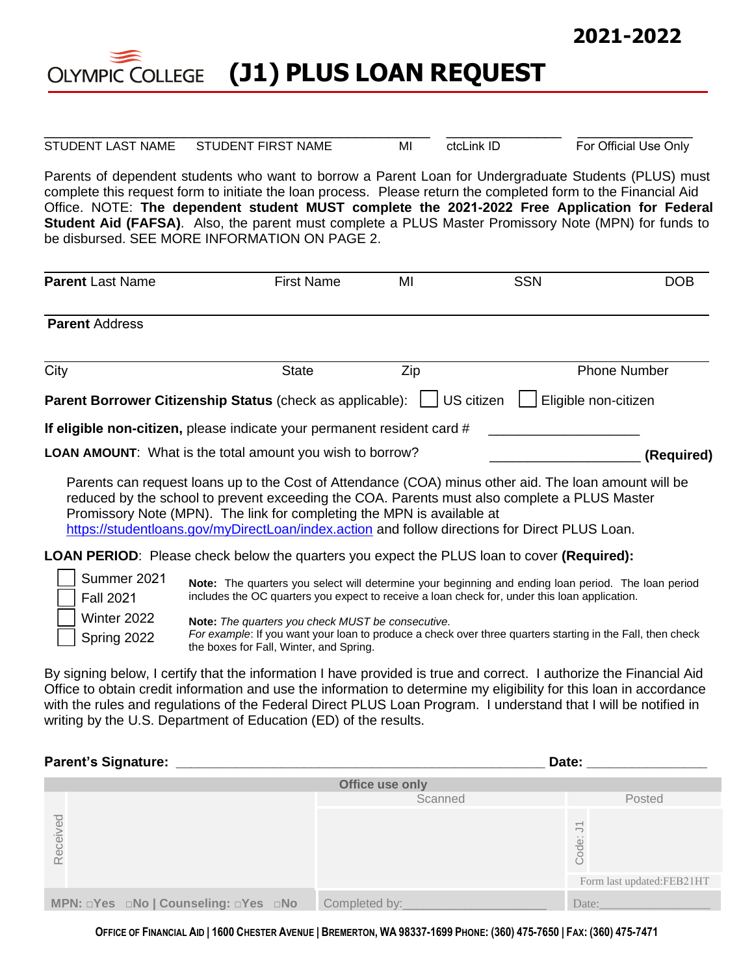**2021-2022**

**(J1) PLUS LOAN REQUEST**

**OLYMPIC COLLEGE** 

| STUDENT LAST NAME | STUDENT FIRST NAME | MI | ∣ctcl ink I⊓ | For Official Use Only |
|-------------------|--------------------|----|--------------|-----------------------|

Parents of dependent students who want to borrow a Parent Loan for Undergraduate Students (PLUS) must complete this request form to initiate the loan process. Please return the completed form to the Financial Aid Office. NOTE: **The dependent student MUST complete the 2021-2022 Free Application for Federal Student Aid (FAFSA)**. Also, the parent must complete a PLUS Master Promissory Note (MPN) for funds to be disbursed. SEE MORE INFORMATION ON PAGE 2.

| <b>Parent Last Name</b>         | <b>First Name</b>                                                                                                                                                                                                                                                                                                                                                                 | MI                                                                                                                                                                                                   | <b>SSN</b>                         | <b>DOB</b>          |
|---------------------------------|-----------------------------------------------------------------------------------------------------------------------------------------------------------------------------------------------------------------------------------------------------------------------------------------------------------------------------------------------------------------------------------|------------------------------------------------------------------------------------------------------------------------------------------------------------------------------------------------------|------------------------------------|---------------------|
| <b>Parent Address</b>           |                                                                                                                                                                                                                                                                                                                                                                                   |                                                                                                                                                                                                      |                                    |                     |
| City                            | State                                                                                                                                                                                                                                                                                                                                                                             | Zip                                                                                                                                                                                                  |                                    | <b>Phone Number</b> |
|                                 | Parent Borrower Citizenship Status (check as applicable):                                                                                                                                                                                                                                                                                                                         |                                                                                                                                                                                                      | US citizen<br>Eligible non-citizen |                     |
|                                 | If eligible non-citizen, please indicate your permanent resident card #                                                                                                                                                                                                                                                                                                           |                                                                                                                                                                                                      |                                    |                     |
|                                 | <b>LOAN AMOUNT:</b> What is the total amount you wish to borrow?                                                                                                                                                                                                                                                                                                                  |                                                                                                                                                                                                      |                                    | (Required)          |
|                                 | Parents can request loans up to the Cost of Attendance (COA) minus other aid. The loan amount will be<br>reduced by the school to prevent exceeding the COA. Parents must also complete a PLUS Master<br>Promissory Note (MPN). The link for completing the MPN is available at<br>https://studentloans.gov/myDirectLoan/index.action and follow directions for Direct PLUS Loan. |                                                                                                                                                                                                      |                                    |                     |
|                                 | <b>LOAN PERIOD:</b> Please check below the quarters you expect the PLUS loan to cover (Required):                                                                                                                                                                                                                                                                                 |                                                                                                                                                                                                      |                                    |                     |
| Summer 2021<br><b>Fall 2021</b> |                                                                                                                                                                                                                                                                                                                                                                                   | Note: The quarters you select will determine your beginning and ending loan period. The loan period<br>includes the OC quarters you expect to receive a loan check for, under this loan application. |                                    |                     |
| Winter 2022<br>Spring 2022      | Note: The quarters you check MUST be consecutive.<br>For example: If you want your loan to produce a check over three quarters starting in the Fall, then check                                                                                                                                                                                                                   |                                                                                                                                                                                                      |                                    |                     |

By signing below, I certify that the information I have provided is true and correct. I authorize the Financial Aid Office to obtain credit information and use the information to determine my eligibility for this loan in accordance with the rules and regulations of the Federal Direct PLUS Loan Program. I understand that I will be notified in writing by the U.S. Department of Education (ED) of the results.

the boxes for Fall, Winter, and Spring.

| <b>Parent's Signature:</b>           | Date:           |                            |  |
|--------------------------------------|-----------------|----------------------------|--|
|                                      | Office use only |                            |  |
|                                      | Scanned         | Posted                     |  |
| Received                             |                 | $\overline{\neg}$<br>Code: |  |
|                                      |                 | Form last updated:FEB21HT  |  |
| MPN: □Yes □No   Counseling: □Yes □No | Completed by:   | Date:                      |  |

OFFICE OF FINANCIAL AID | 1600 CHESTER AVENUE | BREMERTON, WA 98337-1699 PHONE: (360) 475-7650 | FAX: (360) 475-7471